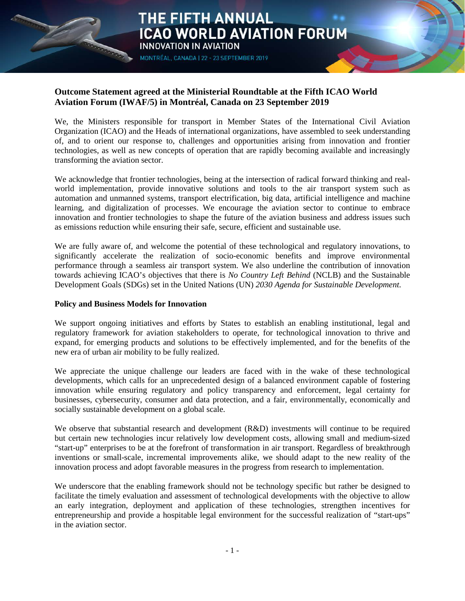

## **Outcome Statement agreed at the Ministerial Roundtable at the Fifth ICAO World Aviation Forum (IWAF/5) in Montréal, Canada on 23 September 2019**

**THE FIFTH ANNUAL** 

MONTRÉAL, CANADA | 22 - 23 SEPTEMBER 2019

INNOVATION IN AVIATION

We, the Ministers responsible for transport in Member States of the International Civil Aviation Organization (ICAO) and the Heads of international organizations, have assembled to seek understanding of, and to orient our response to, challenges and opportunities arising from innovation and frontier technologies, as well as new concepts of operation that are rapidly becoming available and increasingly transforming the aviation sector.

ICAO WORLD AVIATION FORUM

We acknowledge that frontier technologies, being at the intersection of radical forward thinking and realworld implementation, provide innovative solutions and tools to the air transport system such as automation and unmanned systems, transport electrification, big data, artificial intelligence and machine learning, and digitalization of processes. We encourage the aviation sector to continue to embrace innovation and frontier technologies to shape the future of the aviation business and address issues such as emissions reduction while ensuring their safe, secure, efficient and sustainable use.

We are fully aware of, and welcome the potential of these technological and regulatory innovations, to significantly accelerate the realization of socio-economic benefits and improve environmental performance through a seamless air transport system. We also underline the contribution of innovation towards achieving ICAO's objectives that there is *No Country Left Behind* (NCLB) and the Sustainable Development Goals (SDGs) set in the United Nations (UN) *2030 Agenda for Sustainable Development*.

### **Policy and Business Models for Innovation**

We support ongoing initiatives and efforts by States to establish an enabling institutional, legal and regulatory framework for aviation stakeholders to operate, for technological innovation to thrive and expand, for emerging products and solutions to be effectively implemented, and for the benefits of the new era of urban air mobility to be fully realized.

We appreciate the unique challenge our leaders are faced with in the wake of these technological developments, which calls for an unprecedented design of a balanced environment capable of fostering innovation while ensuring regulatory and policy transparency and enforcement, legal certainty for businesses, cybersecurity, consumer and data protection, and a fair, environmentally, economically and socially sustainable development on a global scale.

We observe that substantial research and development (R&D) investments will continue to be required but certain new technologies incur relatively low development costs, allowing small and medium-sized "start-up" enterprises to be at the forefront of transformation in air transport. Regardless of breakthrough inventions or small-scale, incremental improvements alike, we should adapt to the new reality of the innovation process and adopt favorable measures in the progress from research to implementation.

We underscore that the enabling framework should not be technology specific but rather be designed to facilitate the timely evaluation and assessment of technological developments with the objective to allow an early integration, deployment and application of these technologies, strengthen incentives for entrepreneurship and provide a hospitable legal environment for the successful realization of "start-ups" in the aviation sector.